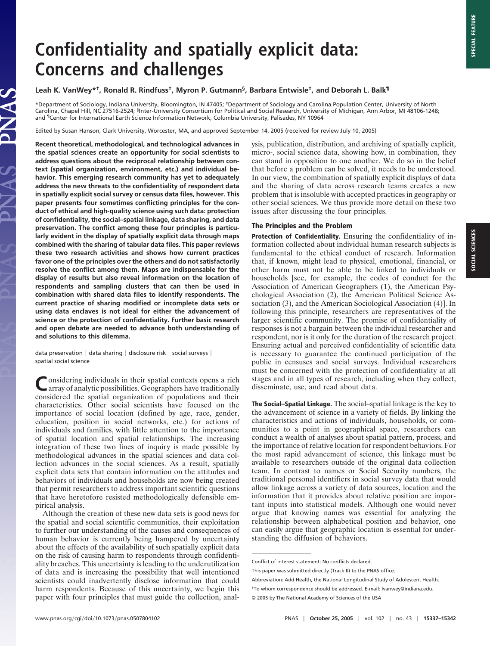# **Confidentiality and spatially explicit data: Concerns and challenges**

## **Leah K. VanWey\*†, Ronald R. Rindfuss‡, Myron P. Gutmann§, Barbara Entwisle‡, and Deborah L. Balk¶**

\*Department of Sociology, Indiana University, Bloomington, IN 47405; ‡Department of Sociology and Carolina Population Center, University of North Carolina, Chapel Hill, NC 27516-2524; §Inter-University Consortium for Political and Social Research, University of Michigan, Ann Arbor, MI 48106-1248; and ¶Center for International Earth Science Information Network, Columbia University, Palisades, NY 10964

Edited by Susan Hanson, Clark University, Worcester, MA, and approved September 14, 2005 (received for review July 10, 2005)

**Recent theoretical, methodological, and technological advances in the spatial sciences create an opportunity for social scientists to address questions about the reciprocal relationship between context (spatial organization, environment, etc.) and individual behavior. This emerging research community has yet to adequately address the new threats to the confidentiality of respondent data in spatially explicit social survey or census data files, however. This paper presents four sometimes conflicting principles for the conduct of ethical and high-quality science using such data: protection of confidentiality, the social–spatial linkage, data sharing, and data preservation. The conflict among these four principles is particularly evident in the display of spatially explicit data through maps combined with the sharing of tabular data files. This paper reviews these two research activities and shows how current practices favor one of the principles over the others and do not satisfactorily resolve the conflict among them. Maps are indispensable for the display of results but also reveal information on the location of respondents and sampling clusters that can then be used in combination with shared data files to identify respondents. The current practice of sharing modified or incomplete data sets or using data enclaves is not ideal for either the advancement of science or the protection of confidentiality. Further basic research and open debate are needed to advance both understanding of and solutions to this dilemma.**

data preservation  $\vert$  data sharing  $\vert$  disclosure risk  $\vert$  social surveys  $\vert$ spatial social science

Considering individuals in their spatial contexts opens a rich array of analytic possibilities. Geographers have traditionally considered the spatial organization of populations and their characteristics. Other social scientists have focused on the importance of social location (defined by age, race, gender, education, position in social networks, etc.) for actions of individuals and families, with little attention to the importance of spatial location and spatial relationships. The increasing integration of these two lines of inquiry is made possible by methodological advances in the spatial sciences and data collection advances in the social sciences. As a result, spatially explicit data sets that contain information on the attitudes and behaviors of individuals and households are now being created that permit researchers to address important scientific questions that have heretofore resisted methodologically defensible empirical analysis.

Although the creation of these new data sets is good news for the spatial and social scientific communities, their exploitation to further our understanding of the causes and consequences of human behavior is currently being hampered by uncertainty about the effects of the availability of such spatially explicit data on the risk of causing harm to respondents through confidentiality breaches. This uncertainty is leading to the underutilization of data and is increasing the possibility that well intentioned scientists could inadvertently disclose information that could harm respondents. Because of this uncertainty, we begin this paper with four principles that must guide the collection, analysis, publication, distribution, and archiving of spatially explicit, micro-, social science data, showing how, in combination, they can stand in opposition to one another. We do so in the belief that before a problem can be solved, it needs to be understood. In our view, the combination of spatially explicit displays of data and the sharing of data across research teams creates a new problem that is insoluble with accepted practices in geography or other social sciences. We thus provide more detail on these two issues after discussing the four principles.

## **The Principles and the Problem**

**Protection of Confidentiality.** Ensuring the confidentiality of information collected about individual human research subjects is fundamental to the ethical conduct of research. Information that, if known, might lead to physical, emotional, financial, or other harm must not be able to be linked to individuals or households [see, for example, the codes of conduct for the Association of American Geographers (1), the American Psychological Association (2), the American Political Science Association (3), and the American Sociological Association (4)]. In following this principle, researchers are representatives of the larger scientific community. The promise of confidentiality of responses is not a bargain between the individual researcher and respondent, nor is it only for the duration of the research project. Ensuring actual and perceived confidentiality of scientific data is necessary to guarantee the continued participation of the public in censuses and social surveys. Individual researchers must be concerned with the protection of confidentiality at all stages and in all types of research, including when they collect, disseminate, use, and read about data.

**The Social–Spatial Linkage.** The social–spatial linkage is the key to the advancement of science in a variety of fields. By linking the characteristics and actions of individuals, households, or communities to a point in geographical space, researchers can conduct a wealth of analyses about spatial pattern, process, and the importance of relative location for respondent behaviors. For the most rapid advancement of science, this linkage must be available to researchers outside of the original data collection team. In contrast to names or Social Security numbers, the traditional personal identifiers in social survey data that would allow linkage across a variety of data sources, location and the information that it provides about relative position are important inputs into statistical models. Although one would never argue that knowing names was essential for analyzing the relationship between alphabetical position and behavior, one can easily argue that geographic location is essential for understanding the diffusion of behaviors.

Conflict of interest statement: No conflicts declared.

This paper was submitted directly (Track II) to the PNAS office.

Abbreviation: Add Health, the National Longitudinal Study of Adolescent Health.

<sup>†</sup>To whom correspondence should be addressed. E-mail: lvanwey@indiana.edu.

<sup>© 2005</sup> by The National Academy of Sciences of the USA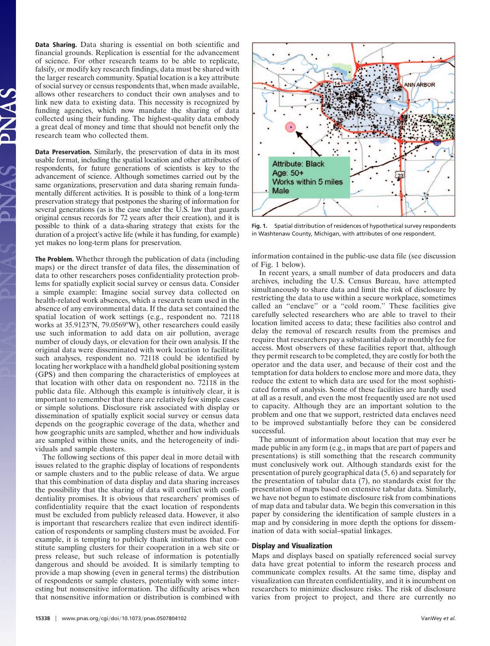**Data Sharing.** Data sharing is essential on both scientific and financial grounds. Replication is essential for the advancement of science. For other research teams to be able to replicate, falsify, or modify key research findings, data must be shared with the larger research community. Spatial location is a key attribute of social survey or census respondents that, when made available, allows other researchers to conduct their own analyses and to link new data to existing data. This necessity is recognized by funding agencies, which now mandate the sharing of data collected using their funding. The highest-quality data embody a great deal of money and time that should not benefit only the research team who collected them.

**Data Preservation.** Similarly, the preservation of data in its most usable format, including the spatial location and other attributes of respondents, for future generations of scientists is key to the advancement of science. Although sometimes carried out by the same organizations, preservation and data sharing remain fundamentally different activities. It is possible to think of a long-term preservation strategy that postpones the sharing of information for several generations (as is the case under the U.S. law that guards original census records for 72 years after their creation), and it is possible to think of a data-sharing strategy that exists for the duration of a project's active life (while it has funding, for example) yet makes no long-term plans for preservation.

**The Problem.** Whether through the publication of data (including maps) or the direct transfer of data files, the dissemination of data to other researchers poses confidentiality protection problems for spatially explicit social survey or census data. Consider a simple example: Imagine social survey data collected on health-related work absences, which a research team used in the absence of any environmental data. If the data set contained the spatial location of work settings (e.g., respondent no. 72118 works at 35.9123°N, 79.0569°W), other researchers could easily use such information to add data on air pollution, average number of cloudy days, or elevation for their own analysis. If the original data were disseminated with work location to facilitate such analyses, respondent no. 72118 could be identified by locating her workplace with a handheld global positioning system (GPS) and then comparing the characteristics of employees at that location with other data on respondent no. 72118 in the public data file. Although this example is intuitively clear, it is important to remember that there are relatively few simple cases or simple solutions. Disclosure risk associated with display or dissemination of spatially explicit social survey or census data depends on the geographic coverage of the data, whether and how geographic units are sampled, whether and how individuals are sampled within those units, and the heterogeneity of individuals and sample clusters.

The following sections of this paper deal in more detail with issues related to the graphic display of locations of respondents or sample clusters and to the public release of data. We argue that this combination of data display and data sharing increases the possibility that the sharing of data will conflict with confidentiality promises. It is obvious that researchers' promises of confidentiality require that the exact location of respondents must be excluded from publicly released data. However, it also is important that researchers realize that even indirect identification of respondents or sampling clusters must be avoided. For example, it is tempting to publicly thank institutions that constitute sampling clusters for their cooperation in a web site or press release, but such release of information is potentially dangerous and should be avoided. It is similarly tempting to provide a map showing (even in general terms) the distribution of respondents or sample clusters, potentially with some interesting but nonsensitive information. The difficulty arises when that nonsensitive information or distribution is combined with



**Fig. 1.** Spatial distribution of residences of hypothetical survey respondents in Washtenaw County, Michigan, with attributes of one respondent.

information contained in the public-use data file (see discussion of Fig. 1 below).

In recent years, a small number of data producers and data archives, including the U.S. Census Bureau, have attempted simultaneously to share data and limit the risk of disclosure by restricting the data to use within a secure workplace, sometimes called an ''enclave'' or a ''cold room.'' These facilities give carefully selected researchers who are able to travel to their location limited access to data; these facilities also control and delay the removal of research results from the premises and require that researchers pay a substantial daily or monthly fee for access. Most observers of these facilities report that, although they permit research to be completed, they are costly for both the operator and the data user, and because of their cost and the temptation for data holders to enclose more and more data, they reduce the extent to which data are used for the most sophisticated forms of analysis. Some of these facilities are hardly used at all as a result, and even the most frequently used are not used to capacity. Although they are an important solution to the problem and one that we support, restricted data enclaves need to be improved substantially before they can be considered successful.

The amount of information about location that may ever be made public in any form (e.g., in maps that are part of papers and presentations) is still something that the research community must conclusively work out. Although standards exist for the presentation of purely geographical data (5, 6) and separately for the presentation of tabular data (7), no standards exist for the presentation of maps based on extensive tabular data. Similarly, we have not begun to estimate disclosure risk from combinations of map data and tabular data. We begin this conversation in this paper by considering the identification of sample clusters in a map and by considering in more depth the options for dissemination of data with social–spatial linkages.

#### **Display and Visualization**

Maps and displays based on spatially referenced social survey data have great potential to inform the research process and communicate complex results. At the same time, display and visualization can threaten confidentiality, and it is incumbent on researchers to minimize disclosure risks. The risk of disclosure varies from project to project, and there are currently no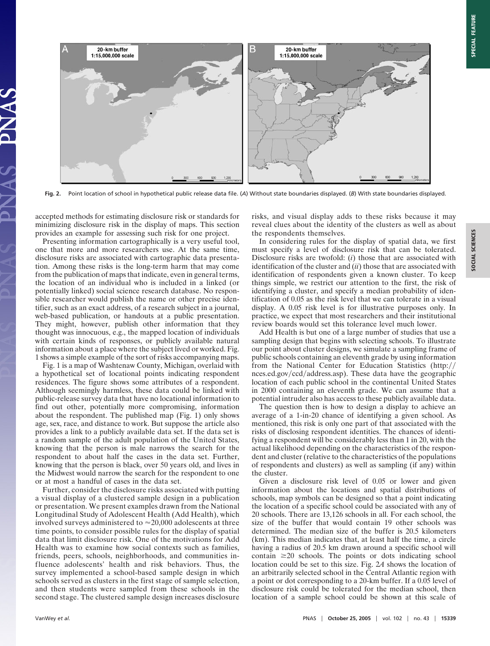

**Fig. 2.** Point location of school in hypothetical public release data file. (*A*) Without state boundaries displayed. (*B*) With state boundaries displayed.

accepted methods for estimating disclosure risk or standards for minimizing disclosure risk in the display of maps. This section provides an example for assessing such risk for one project.

Presenting information cartographically is a very useful tool, one that more and more researchers use. At the same time, disclosure risks are associated with cartographic data presentation. Among these risks is the long-term harm that may come from the publication of maps that indicate, even in general terms, the location of an individual who is included in a linked (or potentially linked) social science research database. No responsible researcher would publish the name or other precise identifier, such as an exact address, of a research subject in a journal, web-based publication, or handouts at a public presentation. They might, however, publish other information that they thought was innocuous, e.g., the mapped location of individuals with certain kinds of responses, or publicly available natural information about a place where the subject lived or worked. Fig. 1 shows a simple example of the sort of risks accompanying maps.

Fig. 1 is a map of Washtenaw County, Michigan, overlaid with a hypothetical set of locational points indicating respondent residences. The figure shows some attributes of a respondent. Although seemingly harmless, these data could be linked with public-release survey data that have no locational information to find out other, potentially more compromising, information about the respondent. The published map (Fig. 1) only shows age, sex, race, and distance to work. But suppose the article also provides a link to a publicly available data set. If the data set is a random sample of the adult population of the United States, knowing that the person is male narrows the search for the respondent to about half the cases in the data set. Further, knowing that the person is black, over 50 years old, and lives in the Midwest would narrow the search for the respondent to one or at most a handful of cases in the data set.

Further, consider the disclosure risks associated with putting a visual display of a clustered sample design in a publication or presentation. We present examples drawn from the National Longitudinal Study of Adolescent Health (Add Health), which involved surveys administered to  $\approx$  20,000 adolescents at three time points, to consider possible rules for the display of spatial data that limit disclosure risk. One of the motivations for Add Health was to examine how social contexts such as families, friends, peers, schools, neighborhoods, and communities influence adolescents' health and risk behaviors. Thus, the survey implemented a school-based sample design in which schools served as clusters in the first stage of sample selection, and then students were sampled from these schools in the second stage. The clustered sample design increases disclosure risks, and visual display adds to these risks because it may reveal clues about the identity of the clusters as well as about the respondents themselves.

In considering rules for the display of spatial data, we first must specify a level of disclosure risk that can be tolerated. Disclosure risks are twofold: (*i*) those that are associated with identification of the cluster and (*ii*) those that are associated with identification of respondents given a known cluster. To keep things simple, we restrict our attention to the first, the risk of identifying a cluster, and specify a median probability of identification of 0.05 as the risk level that we can tolerate in a visual display. A 0.05 risk level is for illustrative purposes only. In practice, we expect that most researchers and their institutional review boards would set this tolerance level much lower.

Add Health is but one of a large number of studies that use a sampling design that begins with selecting schools. To illustrate our point about cluster designs, we simulate a sampling frame of public schools containing an eleventh grade by using information from the National Center for Education Statistics (http:// nces.ed.gov/ccd/address.asp). These data have the geographic location of each public school in the continental United States in 2000 containing an eleventh grade. We can assume that a potential intruder also has access to these publicly available data.

The question then is how to design a display to achieve an average of a 1-in-20 chance of identifying a given school. As mentioned, this risk is only one part of that associated with the risks of disclosing respondent identities. The chances of identifying a respondent will be considerably less than 1 in 20, with the actual likelihood depending on the characteristics of the respondent and cluster (relative to the characteristics of the populations of respondents and clusters) as well as sampling (if any) within the cluster.

Given a disclosure risk level of 0.05 or lower and given information about the locations and spatial distributions of schools, map symbols can be designed so that a point indicating the location of a specific school could be associated with any of 20 schools. There are 13,126 schools in all. For each school, the size of the buffer that would contain 19 other schools was determined. The median size of the buffer is 20.5 kilometers (km). This median indicates that, at least half the time, a circle having a radius of 20.5 km drawn around a specific school will contain  $\geq 20$  schools. The points or dots indicating school location could be set to this size. Fig. 2*A* shows the location of an arbitrarily selected school in the Central Atlantic region with a point or dot corresponding to a 20-km buffer. If a 0.05 level of disclosure risk could be tolerated for the median school, then location of a sample school could be shown at this scale of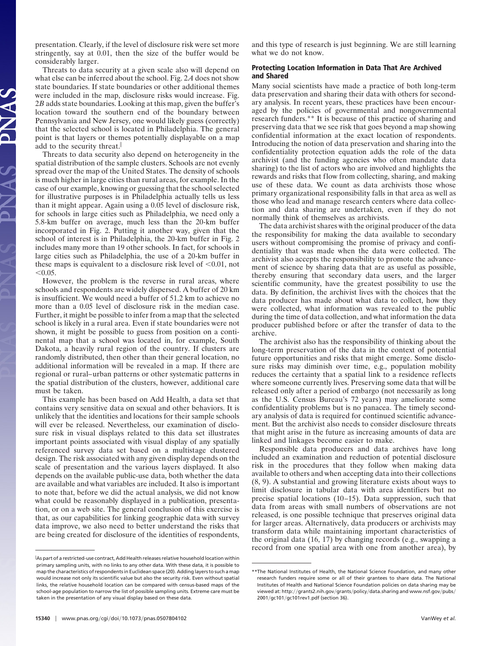presentation. Clearly, if the level of disclosure risk were set more stringently, say at 0.01, then the size of the buffer would be considerably larger.

Threats to data security at a given scale also will depend on what else can be inferred about the school. Fig. 2*A* does not show state boundaries. If state boundaries or other additional themes were included in the map, disclosure risks would increase. Fig. 2*B* adds state boundaries. Looking at this map, given the buffer's location toward the southern end of the boundary between Pennsylvania and New Jersey, one would likely guess (correctly) that the selected school is located in Philadelphia. The general point is that layers or themes potentially displayable on a map add to the security threat.

Threats to data security also depend on heterogeneity in the spatial distribution of the sample clusters. Schools are not evenly spread over the map of the United States. The density of schools is much higher in large cities than rural areas, for example. In the case of our example, knowing or guessing that the school selected for illustrative purposes is in Philadelphia actually tells us less than it might appear. Again using a 0.05 level of disclosure risk, for schools in large cities such as Philadelphia, we need only a 5.8-km buffer on average, much less than the 20-km buffer incorporated in Fig. 2. Putting it another way, given that the school of interest is in Philadelphia, the 20-km buffer in Fig. 2 includes many more than 19 other schools. In fact, for schools in large cities such as Philadelphia, the use of a 20-km buffer in these maps is equivalent to a disclosure risk level of  $\leq 0.01$ , not  $< 0.05$ .

However, the problem is the reverse in rural areas, where schools and respondents are widely dispersed. A buffer of 20 km is insufficient. We would need a buffer of 51.2 km to achieve no more than a 0.05 level of disclosure risk in the median case. Further, it might be possible to infer from a map that the selected school is likely in a rural area. Even if state boundaries were not shown, it might be possible to guess from position on a continental map that a school was located in, for example, South Dakota, a heavily rural region of the country. If clusters are randomly distributed, then other than their general location, no additional information will be revealed in a map. If there are regional or rural–urban patterns or other systematic patterns in the spatial distribution of the clusters, however, additional care must be taken.

This example has been based on Add Health, a data set that contains very sensitive data on sexual and other behaviors. It is unlikely that the identities and locations for their sample schools will ever be released. Nevertheless, our examination of disclosure risk in visual displays related to this data set illustrates important points associated with visual display of any spatially referenced survey data set based on a multistage clustered design. The risk associated with any given display depends on the scale of presentation and the various layers displayed. It also depends on the available public-use data, both whether the data are available and what variables are included. It also is important to note that, before we did the actual analysis, we did not know what could be reasonably displayed in a publication, presentation, or on a web site. The general conclusion of this exercise is that, as our capabilities for linking geographic data with survey data improve, we also need to better understand the risks that are being created for disclosure of the identities of respondents,

 $\mathbin{\mathbb R}$ s part of a restricted-use contract, Add Health releases relative household location within primary sampling units, with no links to any other data. With these data, it is possible to map the characteristics of respondents in Euclidean space (20). Adding layers to such a map would increase not only its scientific value but also the security risk. Even without spatial links, the relative household location can be compared with census-based maps of the school-age population to narrow the list of possible sampling units. Extreme care must be taken in the presentation of any visual display based on these data.

and this type of research is just beginning. We are still learning what we do not know.

## **Protecting Location Information in Data That Are Archived and Shared**

Many social scientists have made a practice of both long-term data preservation and sharing their data with others for secondary analysis. In recent years, these practices have been encouraged by the policies of governmental and nongovernmental research funders.\*\* It is because of this practice of sharing and preserving data that we see risk that goes beyond a map showing confidential information at the exact location of respondents. Introducing the notion of data preservation and sharing into the confidentiality protection equation adds the role of the data archivist (and the funding agencies who often mandate data sharing) to the list of actors who are involved and highlights the rewards and risks that flow from collecting, sharing, and making use of these data. We count as data archivists those whose primary organizational responsibility falls in that area as well as those who lead and manage research centers where data collection and data sharing are undertaken, even if they do not normally think of themselves as archivists.

The data archivist shares with the original producer of the data the responsibility for making the data available to secondary users without compromising the promise of privacy and confidentiality that was made when the data were collected. The archivist also accepts the responsibility to promote the advancement of science by sharing data that are as useful as possible, thereby ensuring that secondary data users, and the larger scientific community, have the greatest possibility to use the data. By definition, the archivist lives with the choices that the data producer has made about what data to collect, how they were collected, what information was revealed to the public during the time of data collection, and what information the data producer published before or after the transfer of data to the archive.

The archivist also has the responsibility of thinking about the long-term preservation of the data in the context of potential future opportunities and risks that might emerge. Some disclosure risks may diminish over time, e.g., population mobility reduces the certainty that a spatial link to a residence reflects where someone currently lives. Preserving some data that will be released only after a period of embargo (not necessarily as long as the U.S. Census Bureau's 72 years) may ameliorate some confidentiality problems but is no panacea. The timely secondary analysis of data is required for continued scientific advancement. But the archivist also needs to consider disclosure threats that might arise in the future as increasing amounts of data are linked and linkages become easier to make.

Responsible data producers and data archives have long included an examination and reduction of potential disclosure risk in the procedures that they follow when making data available to others and when accepting data into their collections (8, 9). A substantial and growing literature exists about ways to limit disclosure in tabular data with area identifiers but no precise spatial locations (10–15). Data suppression, such that data from areas with small numbers of observations are not released, is one possible technique that preserves original data for larger areas. Alternatively, data producers or archivists may transform data while maintaining important characteristics of the original data (16, 17) by changing records (e.g., swapping a record from one spatial area with one from another area), by

<sup>\*\*</sup>The National Institutes of Health, the National Science Foundation, and many other research funders require some or all of their grantees to share data. The National Institutes of Health and National Science Foundation policies on data sharing may be viewed at: http://grants2.nih.gov/grants/policy/data\_sharing and www.nsf.gov/pubs/ 2001/gc101/gc101rev1.pdf (section 36).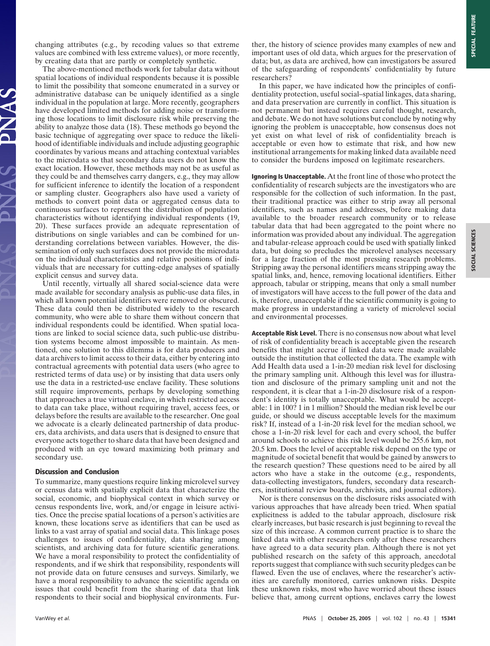SOCIAL SCIENCES

changing attributes (e.g., by recoding values so that extreme values are combined with less extreme values), or more recently, by creating data that are partly or completely synthetic.

The above-mentioned methods work for tabular data without spatial locations of individual respondents because it is possible to limit the possibility that someone enumerated in a survey or administrative database can be uniquely identified as a single individual in the population at large. More recently, geographers have developed limited methods for adding noise or transforming those locations to limit disclosure risk while preserving the ability to analyze those data (18). These methods go beyond the basic technique of aggregating over space to reduce the likelihood of identifiable individuals and include adjusting geographic coordinates by various means and attaching contextual variables to the microdata so that secondary data users do not know the exact location. However, these methods may not be as useful as they could be and themselves carry dangers, e.g., they may allow for sufficient inference to identify the location of a respondent or sampling cluster. Geographers also have used a variety of methods to convert point data or aggregated census data to continuous surfaces to represent the distribution of population characteristics without identifying individual respondents (19, 20). These surfaces provide an adequate representation of distributions on single variables and can be combined for understanding correlations between variables. However, the dissemination of only such surfaces does not provide the microdata on the individual characteristics and relative positions of individuals that are necessary for cutting-edge analyses of spatially explicit census and survey data.

Until recently, virtually all shared social-science data were made available for secondary analysis as public-use data files, in which all known potential identifiers were removed or obscured. These data could then be distributed widely to the research community, who were able to share them without concern that individual respondents could be identified. When spatial locations are linked to social science data, such public-use distribution systems become almost impossible to maintain. As mentioned, one solution to this dilemma is for data producers and data archivers to limit access to their data, either by entering into contractual agreements with potential data users (who agree to restricted terms of data use) or by insisting that data users only use the data in a restricted-use enclave facility. These solutions still require improvements, perhaps by developing something that approaches a true virtual enclave, in which restricted access to data can take place, without requiring travel, access fees, or delays before the results are available to the researcher. One goal we advocate is a clearly delineated partnership of data producers, data archivists, and data users that is designed to ensure that everyone acts together to share data that have been designed and produced with an eye toward maximizing both primary and secondary use.

## **Discussion and Conclusion**

To summarize, many questions require linking microlevel survey or census data with spatially explicit data that characterize the social, economic, and biophysical context in which survey or census respondents live, work, and/or engage in leisure activities. Once the precise spatial locations of a person's activities are known, these locations serve as identifiers that can be used as links to a vast array of spatial and social data. This linkage poses challenges to issues of confidentiality, data sharing among scientists, and archiving data for future scientific generations. We have a moral responsibility to protect the confidentiality of respondents, and if we shirk that responsibility, respondents will not provide data on future censuses and surveys. Similarly, we have a moral responsibility to advance the scientific agenda on issues that could benefit from the sharing of data that link respondents to their social and biophysical environments. Further, the history of science provides many examples of new and important uses of old data, which argues for the preservation of data; but, as data are archived, how can investigators be assured of the safeguarding of respondents' confidentiality by future researchers?

In this paper, we have indicated how the principles of confidentiality protection, useful social–spatial linkages, data sharing, and data preservation are currently in conflict. This situation is not permanent but instead requires careful thought, research, and debate. We do not have solutions but conclude by noting why ignoring the problem is unacceptable, how consensus does not yet exist on what level of risk of confidentiality breach is acceptable or even how to estimate that risk, and how new institutional arrangements for making linked data available need to consider the burdens imposed on legitimate researchers.

**Ignoring Is Unacceptable.** At the front line of those who protect the confidentiality of research subjects are the investigators who are responsible for the collection of such information. In the past, their traditional practice was either to strip away all personal identifiers, such as names and addresses, before making data available to the broader research community or to release tabular data that had been aggregated to the point where no information was provided about any individual. The aggregation and tabular-release approach could be used with spatially linked data, but doing so precludes the microlevel analyses necessary for a large fraction of the most pressing research problems. Stripping away the personal identifiers means stripping away the spatial links, and, hence, removing locational identifiers. Either approach, tabular or stripping, means that only a small number of investigators will have access to the full power of the data and is, therefore, unacceptable if the scientific community is going to make progress in understanding a variety of microlevel social and environmental processes.

**Acceptable Risk Level.** There is no consensus now about what level of risk of confidentiality breach is acceptable given the research benefits that might accrue if linked data were made available outside the institution that collected the data. The example with Add Health data used a 1-in-20 median risk level for disclosing the primary sampling unit. Although this level was for illustration and disclosure of the primary sampling unit and not the respondent, it is clear that a 1-in-20 disclosure risk of a respondent's identity is totally unacceptable. What would be acceptable: 1 in 100? 1 in 1 million? Should the median risk level be our guide, or should we discuss acceptable levels for the maximum risk? If, instead of a 1-in-20 risk level for the median school, we chose a 1-in-20 risk level for each and every school, the buffer around schools to achieve this risk level would be 255.6 km, not 20.5 km. Does the level of acceptable risk depend on the type or magnitude of societal benefit that would be gained by answers to the research question? These questions need to be aired by all actors who have a stake in the outcome (e.g., respondents, data-collecting investigators, funders, secondary data researchers, institutional review boards, archivists, and journal editors).

Nor is there consensus on the disclosure risks associated with various approaches that have already been tried. When spatial explicitness is added to the tabular approach, disclosure risk clearly increases, but basic research is just beginning to reveal the size of this increase. A common current practice is to share the linked data with other researchers only after these researchers have agreed to a data security plan. Although there is not yet published research on the safety of this approach, anecdotal reports suggest that compliance with such security pledges can be flawed. Even the use of enclaves, where the researcher's activities are carefully monitored, carries unknown risks. Despite these unknown risks, most who have worried about these issues believe that, among current options, enclaves carry the lowest